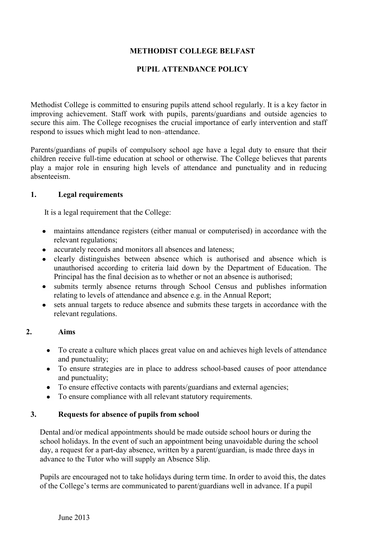# **METHODIST COLLEGE BELFAST**

#### **PUPIL ATTENDANCE POLICY**

Methodist College is committed to ensuring pupils attend school regularly. It is a key factor in improving achievement. Staff work with pupils, parents/guardians and outside agencies to secure this aim. The College recognises the crucial importance of early intervention and staff respond to issues which might lead to non–attendance.

Parents/guardians of pupils of compulsory school age have a legal duty to ensure that their children receive full-time education at school or otherwise. The College believes that parents play a major role in ensuring high levels of attendance and punctuality and in reducing absenteeism.

#### **1. Legal requirements**

It is a legal requirement that the College:

- maintains attendance registers (either manual or computerised) in accordance with the relevant regulations;
- accurately records and monitors all absences and lateness;
- clearly distinguishes between absence which is authorised and absence which is unauthorised according to criteria laid down by the Department of Education. The Principal has the final decision as to whether or not an absence is authorised;
- submits termly absence returns through School Census and publishes information relating to levels of attendance and absence e.g. in the Annual Report;
- sets annual targets to reduce absence and submits these targets in accordance with the relevant regulations.

#### **2. Aims**

- To create a culture which places great value on and achieves high levels of attendance and punctuality;
- To ensure strategies are in place to address school-based causes of poor attendance and punctuality;
- To ensure effective contacts with parents/guardians and external agencies;
- To ensure compliance with all relevant statutory requirements.

#### **3. Requests for absence of pupils from school**

Dental and/or medical appointments should be made outside school hours or during the school holidays. In the event of such an appointment being unavoidable during the school day, a request for a part-day absence, written by a parent/guardian, is made three days in advance to the Tutor who will supply an Absence Slip.

Pupils are encouraged not to take holidays during term time. In order to avoid this, the dates of the College's terms are communicated to parent/guardians well in advance. If a pupil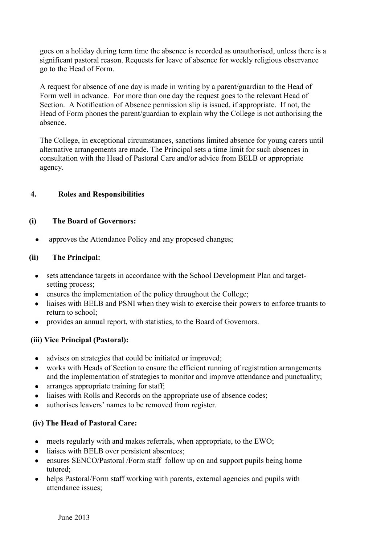goes on a holiday during term time the absence is recorded as unauthorised, unless there is a significant pastoral reason. Requests for leave of absence for weekly religious observance go to the Head of Form.

A request for absence of one day is made in writing by a parent/guardian to the Head of Form well in advance. For more than one day the request goes to the relevant Head of Section. A Notification of Absence permission slip is issued, if appropriate. If not, the Head of Form phones the parent/guardian to explain why the College is not authorising the absence.

The College, in exceptional circumstances, sanctions limited absence for young carers until alternative arrangements are made. The Principal sets a time limit for such absences in consultation with the Head of Pastoral Care and/or advice from BELB or appropriate agency.

# **4. Roles and Responsibilities**

# **(i) The Board of Governors:**

approves the Attendance Policy and any proposed changes;  $\bullet$ 

#### **(ii) The Principal:**

- sets attendance targets in accordance with the School Development Plan and targetsetting process:
- ensures the implementation of the policy throughout the College;
- liaises with BELB and PSNI when they wish to exercise their powers to enforce truants to return to school;
- provides an annual report, with statistics, to the Board of Governors.

# **(iii) Vice Principal (Pastoral):**

- advises on strategies that could be initiated or improved:
- works with Heads of Section to ensure the efficient running of registration arrangements and the implementation of strategies to monitor and improve attendance and punctuality;
- arranges appropriate training for staff;
- liaises with Rolls and Records on the appropriate use of absence codes;
- authorises leavers' names to be removed from register.

# **(iv) The Head of Pastoral Care:**

- meets regularly with and makes referrals, when appropriate, to the EWO;
- liaises with BELB over persistent absentees:
- ensures SENCO/Pastoral /Form staff follow up on and support pupils being home tutored;
- helps Pastoral/Form staff working with parents, external agencies and pupils with attendance issues;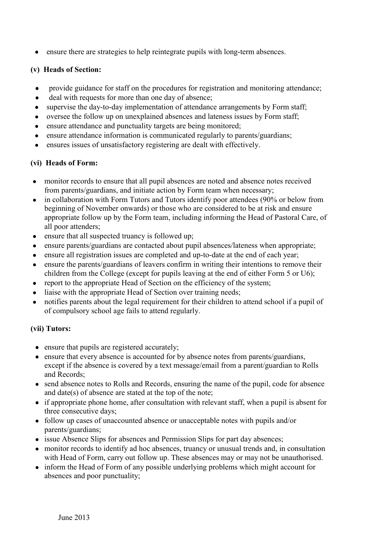ensure there are strategies to help reintegrate pupils with long-term absences.  $\bullet$ 

# **(v) Heads of Section:**

- $\bullet$ provide guidance for staff on the procedures for registration and monitoring attendance;
- deal with requests for more than one day of absence;  $\bullet$
- supervise the day-to-day implementation of attendance arrangements by Form staff;  $\bullet$
- oversee the follow up on unexplained absences and lateness issues by Form staff;  $\bullet$
- ensure attendance and punctuality targets are being monitored;  $\bullet$
- ensure attendance information is communicated regularly to parents/guardians;  $\bullet$
- ensures issues of unsatisfactory registering are dealt with effectively.  $\bullet$

# **(vi) Heads of Form:**

- monitor records to ensure that all pupil absences are noted and absence notes received from parents/guardians, and initiate action by Form team when necessary;
- in collaboration with Form Tutors and Tutors identify poor attendees (90% or below from  $\bullet$ beginning of November onwards) or those who are considered to be at risk and ensure appropriate follow up by the Form team, including informing the Head of Pastoral Care, of all poor attenders;
- ensure that all suspected truancy is followed up;  $\bullet$
- ensure parents/guardians are contacted about pupil absences/lateness when appropriate;  $\bullet$
- ensure all registration issues are completed and up-to-date at the end of each year;
- ensure the parents/guardians of leavers confirm in writing their intentions to remove their  $\bullet$ children from the College (except for pupils leaving at the end of either Form 5 or U6);
- report to the appropriate Head of Section on the efficiency of the system;
- liaise with the appropriate Head of Section over training needs;
- notifies parents about the legal requirement for their children to attend school if a pupil of  $\bullet$ of compulsory school age fails to attend regularly.

# **(vii) Tutors:**

- ensure that pupils are registered accurately;
- ensure that every absence is accounted for by absence notes from parents/guardians, except if the absence is covered by a text message/email from a parent/guardian to Rolls and Records;
- send absence notes to Rolls and Records, ensuring the name of the pupil, code for absence and date(s) of absence are stated at the top of the note;
- if appropriate phone home, after consultation with relevant staff, when a pupil is absent for three consecutive days;
- follow up cases of unaccounted absence or unacceptable notes with pupils and/or parents/guardians;
- issue Absence Slips for absences and Permission Slips for part day absences:
- monitor records to identify ad hoc absences, truancy or unusual trends and, in consultation with Head of Form, carry out follow up. These absences may or may not be unauthorised.
- inform the Head of Form of any possible underlying problems which might account for absences and poor punctuality;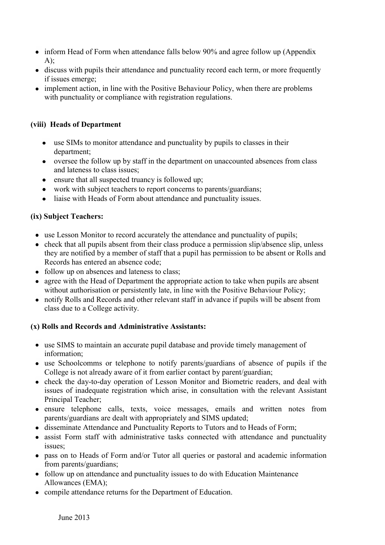- inform Head of Form when attendance falls below 90% and agree follow up (Appendix A);
- discuss with pupils their attendance and punctuality record each term, or more frequently if issues emerge;
- implement action, in line with the Positive Behaviour Policy, when there are problems with punctuality or compliance with registration regulations.

# **(viii) Heads of Department**

- use SIMs to monitor attendance and punctuality by pupils to classes in their department;
- oversee the follow up by staff in the department on unaccounted absences from class and lateness to class issues;
- ensure that all suspected truancy is followed up;
- work with subject teachers to report concerns to parents/guardians;
- liaise with Heads of Form about attendance and punctuality issues.

# **(ix) Subject Teachers:**

- use Lesson Monitor to record accurately the attendance and punctuality of pupils;
- $\bullet$  check that all pupils absent from their class produce a permission slip/absence slip, unless they are notified by a member of staff that a pupil has permission to be absent or Rolls and Records has entered an absence code;
- follow up on absences and lateness to class;
- agree with the Head of Department the appropriate action to take when pupils are absent without authorisation or persistently late, in line with the Positive Behaviour Policy;
- notify Rolls and Records and other relevant staff in advance if pupils will be absent from class due to a College activity.

# **(x) Rolls and Records and Administrative Assistants:**

- use SIMS to maintain an accurate pupil database and provide timely management of information;
- use Schoolcomms or telephone to notify parents/guardians of absence of pupils if the College is not already aware of it from earlier contact by parent/guardian;
- check the day-to-day operation of Lesson Monitor and Biometric readers, and deal with issues of inadequate registration which arise, in consultation with the relevant Assistant Principal Teacher;
- ensure telephone calls, texts, voice messages, emails and written notes from parents/guardians are dealt with appropriately and SIMS updated;
- disseminate Attendance and Punctuality Reports to Tutors and to Heads of Form;
- assist Form staff with administrative tasks connected with attendance and punctuality issues;
- pass on to Heads of Form and/or Tutor all queries or pastoral and academic information from parents/guardians;
- follow up on attendance and punctuality issues to do with Education Maintenance Allowances (EMA);
- compile attendance returns for the Department of Education.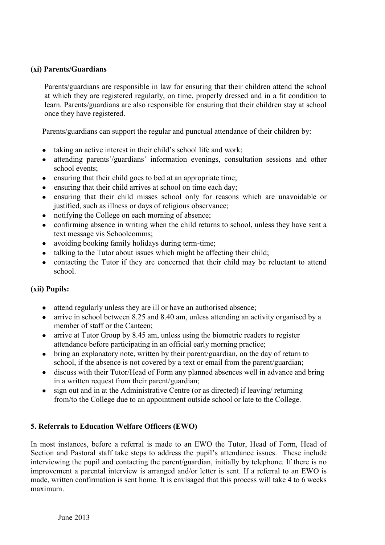#### **(xi) Parents/Guardians**

Parents/guardians are responsible in law for ensuring that their children attend the school at which they are registered regularly, on time, properly dressed and in a fit condition to learn. Parents/guardians are also responsible for ensuring that their children stay at school once they have registered.

Parents/guardians can support the regular and punctual attendance of their children by:

- taking an active interest in their child's school life and work;
- attending parents'/guardians' information evenings, consultation sessions and other school events;
- ensuring that their child goes to bed at an appropriate time;
- ensuring that their child arrives at school on time each day;
- ensuring that their child misses school only for reasons which are unavoidable or justified, such as illness or days of religious observance;
- notifying the College on each morning of absence;
- confirming absence in writing when the child returns to school, unless they have sent a text message vis Schoolcomms;
- avoiding booking family holidays during term-time;
- talking to the Tutor about issues which might be affecting their child;
- contacting the Tutor if they are concerned that their child may be reluctant to attend school.

# **(xii) Pupils:**

- attend regularly unless they are ill or have an authorised absence;
- arrive in school between 8.25 and 8.40 am, unless attending an activity organised by a member of staff or the Canteen;
- arrive at Tutor Group by 8.45 am, unless using the biometric readers to register attendance before participating in an official early morning practice;
- bring an explanatory note, written by their parent/guardian, on the day of return to school, if the absence is not covered by a text or email from the parent/guardian;
- discuss with their Tutor/Head of Form any planned absences well in advance and bring in a written request from their parent/guardian;
- sign out and in at the Administrative Centre (or as directed) if leaving/ returning  $\bullet$ from/to the College due to an appointment outside school or late to the College.

# **5. Referrals to Education Welfare Officers (EWO)**

In most instances, before a referral is made to an EWO the Tutor. Head of Form, Head of Section and Pastoral staff take steps to address the pupil's attendance issues. These include interviewing the pupil and contacting the parent/guardian, initially by telephone. If there is no improvement a parental interview is arranged and/or letter is sent. If a referral to an EWO is made, written confirmation is sent home. It is envisaged that this process will take 4 to 6 weeks maximum.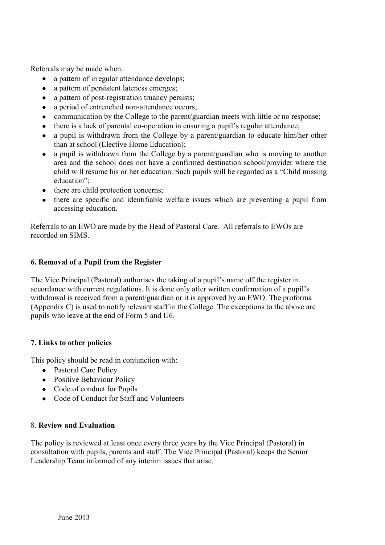Referrals may be made when:

- a pattern of irregular attendance develops;  $\bullet$
- a pattern of persistent lateness emerges;  $\bullet$
- a pattern of post-registration truancy persists;
- a period of entrenched non-attendance occurs;
- communication by the College to the parent/guardian meets with little or no response;
- there is a lack of parental co-operation in ensuring a pupil's regular attendance;
- a pupil is withdrawn from the College by a parent/guardian to educate him/her other than at school (Elective Home Education);
- a pupil is withdrawn from the College by a parent/guardian who is moving to another area and the school does not have a confirmed destination school/provider where the child will resume his or her education. Such pupils will be regarded as a "Child missing education";
- there are child protection concerns;
- there are specific and identifiable welfare issues which are preventing a pupil from accessing education.

Referrals to an EWO are made by the Head of Pastoral Care. All referrals to EWOs are recorded on SIMS.

# **6. Removal of a Pupil from the Register**

The Vice Principal (Pastoral) authorises the taking of a pupil's name off the register in accordance with current regulations. It is done only after written confirmation of a pupil's withdrawal is received from a parent/guardian or it is approved by an EWO. The proforma (Appendix C) is used to notify relevant staff in the College. The exceptions to the above are pupils who leave at the end of Form 5 and U6.

# **7. Links to other policies**

This policy should be read in conjunction with:

- Pastoral Care Policy
- Positive Behaviour Policy
- Code of conduct for Pupils
- Code of Conduct for Staff and Volunteers

# 8. **Review and Evaluation**

The policy is reviewed at least once every three years by the Vice Principal (Pastoral) in consultation with pupils, parents and staff. The Vice Principal (Pastoral) keeps the Senior Leadership Team informed of any interim issues that arise.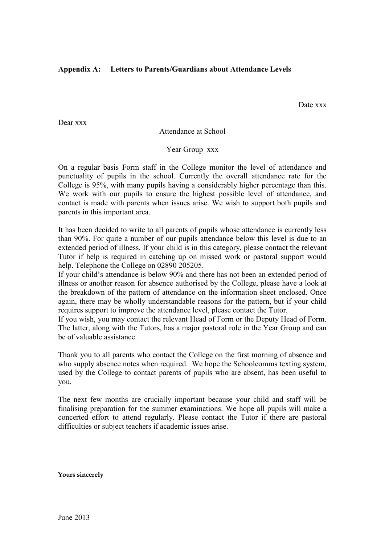#### **Appendix A: Letters to Parents/Guardians about Attendance Levels**

Date xxx

Dear xxx

Attendance at School

Year Group xxx

On a regular basis Form staff in the College monitor the level of attendance and punctuality of pupils in the school. Currently the overall attendance rate for the College is 95%, with many pupils having a considerably higher percentage than this. We work with our pupils to ensure the highest possible level of attendance, and contact is made with parents when issues arise. We wish to support both pupils and parents in this important area.

It has been decided to write to all parents of pupils whose attendance is currently less than 90%. For quite a number of our pupils attendance below this level is due to an extended period of illness. If your child is in this category, please contact the relevant Tutor if help is required in catching up on missed work or pastoral support would help. Telephone the College on 02890 205205.

If your child's attendance is below 90% and there has not been an extended period of illness or another reason for absence authorised by the College, please have a look at the breakdown of the pattern of attendance on the information sheet enclosed. Once again, there may be wholly understandable reasons for the pattern, but if your child requires support to improve the attendance level, please contact the Tutor.

If you wish, you may contact the relevant Head of Form or the Deputy Head of Form. The latter, along with the Tutors, has a major pastoral role in the Year Group and can be of valuable assistance.

Thank you to all parents who contact the College on the first morning of absence and who supply absence notes when required. We hope the Schoolcomms texting system, used by the College to contact parents of pupils who are absent, has been useful to you.

The next few months are crucially important because your child and staff will be finalising preparation for the summer examinations. We hope all pupils will make a concerted effort to attend regularly. Please contact the Tutor if there are pastoral difficulties or subject teachers if academic issues arise.

**Yours sincerely**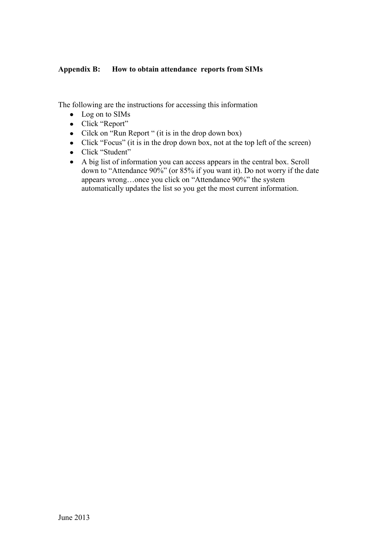# **Appendix B: How to obtain attendance reports from SIMs**

The following are the instructions for accessing this information

- Log on to SIMs
- Click "Report"
- Cilck on "Run Report" (it is in the drop down box)
- Click "Focus" (it is in the drop down box, not at the top left of the screen)
- Click "Student"
- A big list of information you can access appears in the central box. Scroll down to "Attendance 90%" (or 85% if you want it). Do not worry if the date appears wrong…once you click on "Attendance 90%" the system automatically updates the list so you get the most current information.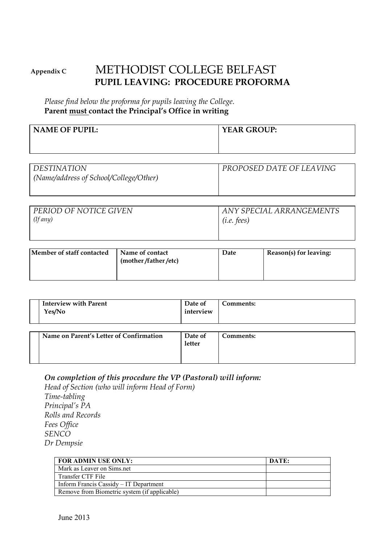# **Appendix C** METHODIST COLLEGE BELFAST **PUPIL LEAVING: PROCEDURE PROFORMA**

*Please find below the proforma for pupils leaving the College.*  **Parent must contact the Principal's Office in writing** 

| <b>NAME OF PUPIL:</b> | <b>YEAR GROUP:</b> |
|-----------------------|--------------------|
|                       |                    |
|                       |                    |

| <i>DESTINATION</i>                     | PROPOSED DATE OF LEAVING |
|----------------------------------------|--------------------------|
| (Name/address of School/College/Other) |                          |
|                                        |                          |

| PERIOD OF NOTICE GIVEN | ANY SPECIAL ARRANGEMENTS |
|------------------------|--------------------------|
| (If any)               | $(i.e.$ fees)            |
|                        |                          |
|                        |                          |

| (mother/father/etc) | Member of staff contacted | Name of contact | Date | Reason(s) for leaving: |
|---------------------|---------------------------|-----------------|------|------------------------|
|---------------------|---------------------------|-----------------|------|------------------------|

| <b>Interview with Parent</b><br>Yes/No  | Date of<br>interview | Comments: |
|-----------------------------------------|----------------------|-----------|
| Name on Parent's Letter of Confirmation | Date of<br>letter    | Comments: |

# *On completion of this procedure the VP (Pastoral) will inform:*

*Head of Section (who will inform Head of Form) Time-tabling Principal's PA Rolls and Records Fees Office SENCO Dr Dempsie* 

| <b>FOR ADMIN USE ONLY:</b>                   | DATE: |
|----------------------------------------------|-------|
| Mark as Leaver on Sims.net                   |       |
| Transfer CTF File                            |       |
| Inform Francis Cassidy – IT Department       |       |
| Remove from Biometric system (if applicable) |       |